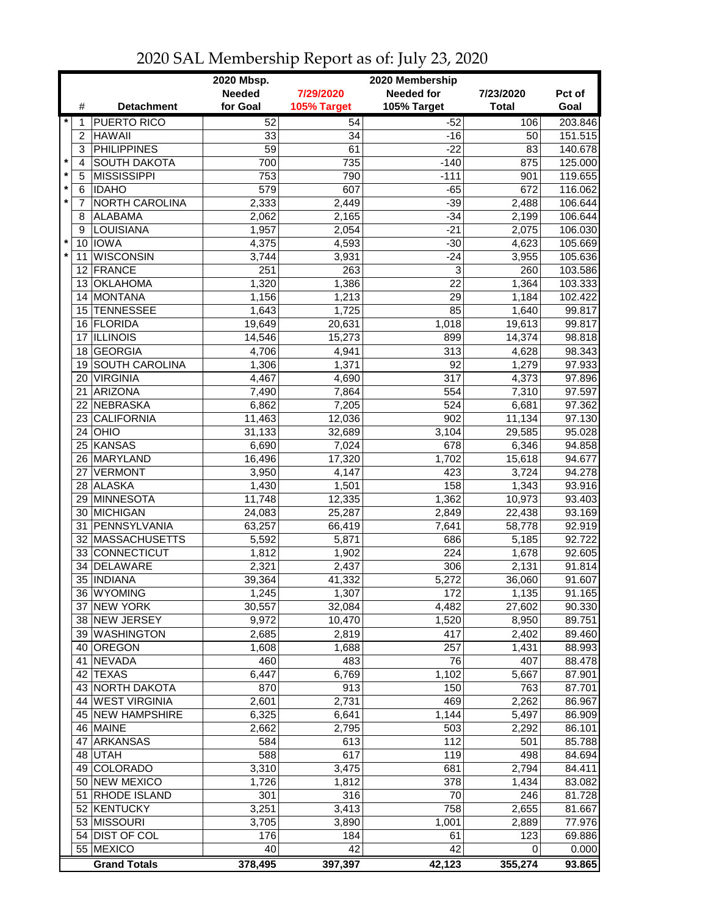|                         |                      |                                     | 2020 Mbsp.     | 2020 Membership |                    |                |                    |  |  |
|-------------------------|----------------------|-------------------------------------|----------------|-----------------|--------------------|----------------|--------------------|--|--|
|                         |                      |                                     | <b>Needed</b>  | 7/29/2020       | <b>Needed for</b>  | 7/23/2020      | Pct of             |  |  |
|                         | #                    | <b>Detachment</b>                   | for Goal       | 105% Target     | 105% Target        | <b>Total</b>   | Goal               |  |  |
| $\star$                 | 1                    | <b>PUERTO RICO</b>                  | 52             | 54              | $-52$              | 106            | 203.846            |  |  |
|                         | $\overline{2}$       | <b>HAWAII</b>                       | 33             | 34              | $-16$              | 50             | 151.515            |  |  |
|                         | 3                    | <b>PHILIPPINES</b>                  | 59             | 61              | $-22$              | 83             | 140.678            |  |  |
| $\star$                 | 4                    | <b>SOUTH DAKOTA</b>                 | 700            | 735             | $-140$             | 875            | 125.000            |  |  |
| $\pmb{\ast}$<br>$\star$ | 5                    | <b>MISSISSIPPI</b>                  | 753            | 790             | $-111$             | 901            | 119.655            |  |  |
| $\star$                 | $\,6$                | <b>IDAHO</b>                        | 579            | 607             | $-65$              | 672            | 116.062            |  |  |
|                         | $\overline{7}$       | <b>NORTH CAROLINA</b>               | 2,333          | 2,449           | $-39$              | 2,488          | 106.644            |  |  |
|                         | 8                    | <b>ALABAMA</b><br>LOUISIANA         | 2,062          | 2,165<br>2,054  | $-34$<br>$-21$     | 2,199          | 106.644            |  |  |
| $\star$                 | 9<br>10 <sup>°</sup> | <b>IOWA</b>                         | 1,957<br>4,375 | 4,593           | $-30$              | 2,075<br>4,623 | 106.030<br>105.669 |  |  |
| $\star$                 | 11                   | <b>WISCONSIN</b>                    | 3,744          | 3,931           | $-24$              | 3,955          | 105.636            |  |  |
|                         |                      | 12 FRANCE                           | 251            | 263             | 3                  | 260            | 103.586            |  |  |
|                         |                      | 13 OKLAHOMA                         | 1,320          | 1,386           | 22                 | 1,364          | 103.333            |  |  |
|                         |                      | 14 MONTANA                          | 1,156          | 1,213           | 29                 | 1,184          | 102.422            |  |  |
|                         |                      | 15 TENNESSEE                        | 1,643          | 1,725           | 85                 | 1,640          | 99.817             |  |  |
|                         |                      | 16 FLORIDA                          | 19,649         | 20,631          | 1,018              | 19,613         | 99.817             |  |  |
|                         | 17                   | <b>ILLINOIS</b>                     | 14,546         | 15,273          | 899                | 14,374         | 98.818             |  |  |
|                         |                      | 18 GEORGIA                          | 4,706          | 4,941           | 313                | 4,628          | 98.343             |  |  |
|                         | 19                   | <b>SOUTH CAROLINA</b>               | 1,306          | 1,371           | 92                 | 1,279          | 97.933             |  |  |
|                         | 20                   | <b>VIRGINIA</b>                     | 4,467          | 4,690           | 317                | 4,373          | 97.896             |  |  |
|                         | 21                   | ARIZONA                             | 7,490          | 7,864           | 554                | 7,310          | 97.597             |  |  |
|                         | 22                   | NEBRASKA                            | 6,862          | 7,205           | 524                | 6,681          | 97.362             |  |  |
|                         | 23                   | <b>CALIFORNIA</b>                   | 11,463         | 12,036          | 902                | 11,134         | 97.130             |  |  |
|                         | 24                   | OHIO                                | 31,133         | 32,689          | $\overline{3,}104$ | 29,585         | 95.028             |  |  |
|                         | 25                   | KANSAS                              | 6,690          | 7,024           | 678                | 6,346          | 94.858             |  |  |
|                         | 26                   | MARYLAND                            | 16,496         | 17,320          | 1,702              | 15,618         | 94.677             |  |  |
|                         |                      | 27 VERMONT                          | 3,950          | 4,147           | 423                | 3,724          | 94.278             |  |  |
|                         |                      | 28 ALASKA                           | 1,430          | 1,501           | 158                | 1,343          | 93.916             |  |  |
|                         |                      | 29 MINNESOTA                        | 11,748         | 12,335          | 1,362              | 10,973         | 93.403             |  |  |
|                         |                      | 30 MICHIGAN                         | 24,083         | 25,287          | 2,849              | 22,438         | 93.169             |  |  |
|                         |                      | 31 PENNSYLVANIA<br>32 MASSACHUSETTS | 63,257         | 66,419          | 7,641<br>686       | 58,778         | 92.919             |  |  |
|                         |                      | 33 CONNECTICUT                      | 5,592<br>1,812 | 5,871<br>1,902  | 224                | 5,185<br>1,678 | 92.722<br>92.605   |  |  |
|                         | 34                   | DELAWARE                            | 2,321          | 2,437           | 306                | 2,131          | 91.814             |  |  |
|                         |                      | 35 INDIANA                          | 39,364         | 41,332          | 5,272              | 36,060         | 91.607             |  |  |
|                         |                      | 36 WYOMING                          | 1,245          | 1,307           | 172                | 1,135          | 91.165             |  |  |
|                         |                      | 37 NEW YORK                         | 30,557         | 32,084          | 4,482              | 27,602         | 90.330             |  |  |
|                         |                      | 38 NEW JERSEY                       | 9,972          | 10,470          | 1,520              | 8,950          | 89.751             |  |  |
|                         |                      | 39 WASHINGTON                       | 2,685          | 2,819           | 417                | 2,402          | 89.460             |  |  |
|                         |                      | 40 OREGON                           | 1,608          | 1,688           | 257                | 1,431          | 88.993             |  |  |
|                         |                      | 41 NEVADA                           | 460            | 483             | 76                 | 407            | 88.478             |  |  |
|                         |                      | 42 TEXAS                            | 6,447          | 6,769           | 1,102              | 5,667          | 87.901             |  |  |
|                         |                      | 43 NORTH DAKOTA                     | 870            | 913             | 150                | 763            | 87.701             |  |  |
|                         |                      | 44 WEST VIRGINIA                    | 2,601          | 2,731           | 469                | 2,262          | 86.967             |  |  |
|                         |                      | 45 NEW HAMPSHIRE                    | 6,325          | 6,641           | 1,144              | 5,497          | 86.909             |  |  |
|                         |                      | 46 MAINE                            | 2,662          | 2,795           | 503                | 2,292          | 86.101             |  |  |
|                         |                      | 47 ARKANSAS                         | 584            | 613             | 112                | 501            | 85.788             |  |  |
|                         |                      | 48 UTAH                             | 588            | 617             | 119                | 498            | 84.694             |  |  |
|                         |                      | 49 COLORADO                         | 3,310          | 3,475           | 681                | 2,794          | 84.411             |  |  |
|                         |                      | 50 NEW MEXICO                       | 1,726          | 1,812           | 378                | 1,434          | 83.082             |  |  |
|                         |                      | 51 RHODE ISLAND                     | 301            | 316             | 70                 | 246            | 81.728             |  |  |
|                         |                      | 52 KENTUCKY                         | 3,251          | 3,413           | 758                | 2,655          | 81.667             |  |  |
|                         |                      | 53 MISSOURI                         | 3,705          | 3,890           | 1,001              | 2,889          | 77.976             |  |  |
|                         |                      | 54 DIST OF COL                      | 176            | 184             | 61                 | 123            | 69.886             |  |  |
|                         |                      | 55 MEXICO                           | 40             | 42              | 42                 | 0              | 0.000              |  |  |
|                         |                      | <b>Grand Totals</b>                 | 378,495        | 397,397         | 42,123             | 355,274        | 93.865             |  |  |

## 2020 SAL Membership Report as of: July 23, 2020